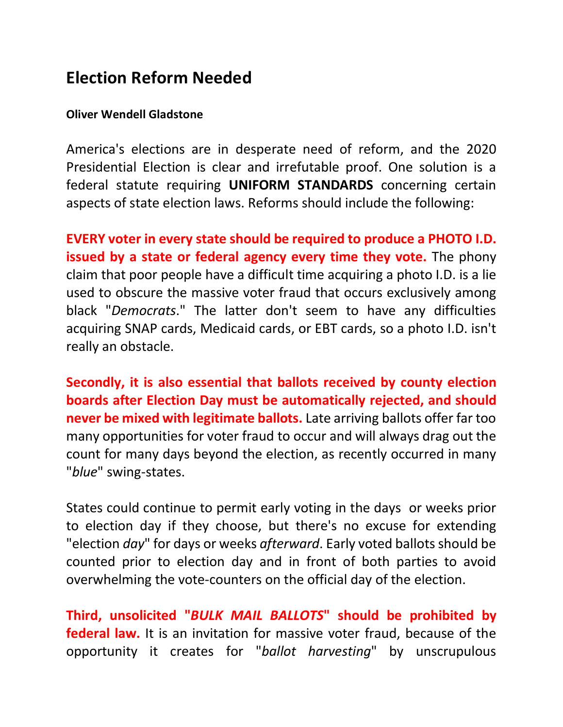## **Election Reform Needed**

## **Oliver Wendell Gladstone**

America's elections are in desperate need of reform, and the 2020 Presidential Election is clear and irrefutable proof. One solution is a federal statute requiring **UNIFORM STANDARDS** concerning certain aspects of state election laws. Reforms should include the following:

**EVERY voter in every state should be required to produce a PHOTO I.D. issued by a state or federal agency every time they vote.** The phony claim that poor people have a difficult time acquiring a photo I.D. is a lie used to obscure the massive voter fraud that occurs exclusively among black "*Democrats*." The latter don't seem to have any difficulties acquiring SNAP cards, Medicaid cards, or EBT cards, so a photo I.D. isn't really an obstacle.

**Secondly, it is also essential that ballots received by county election boards after Election Day must be automatically rejected, and should never be mixed with legitimate ballots.** Late arriving ballots offer far too many opportunities for voter fraud to occur and will always drag out the count for many days beyond the election, as recently occurred in many "*blue*" swing-states.

States could continue to permit early voting in the days or weeks prior to election day if they choose, but there's no excuse for extending "election *day*" for days or weeks *afterward*. Early voted ballots should be counted prior to election day and in front of both parties to avoid overwhelming the vote-counters on the official day of the election.

**Third, unsolicited "***BULK MAIL BALLOTS***" should be prohibited by federal law.** It is an invitation for massive voter fraud, because of the opportunity it creates for "*ballot harvesting*" by unscrupulous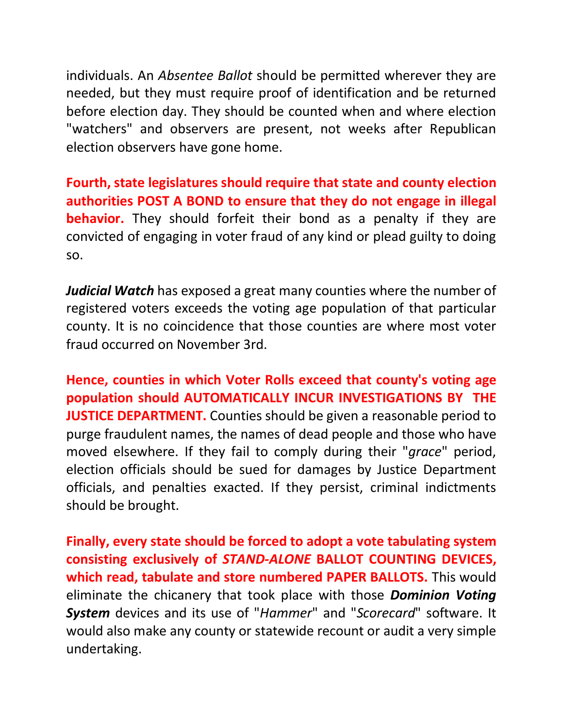individuals. An *Absentee Ballot* should be permitted wherever they are needed, but they must require proof of identification and be returned before election day. They should be counted when and where election "watchers" and observers are present, not weeks after Republican election observers have gone home.

**Fourth, state legislatures should require that state and county election authorities POST A BOND to ensure that they do not engage in illegal behavior.** They should forfeit their bond as a penalty if they are convicted of engaging in voter fraud of any kind or plead guilty to doing so.

*Judicial Watch* has exposed a great many counties where the number of registered voters exceeds the voting age population of that particular county. It is no coincidence that those counties are where most voter fraud occurred on November 3rd.

**Hence, counties in which Voter Rolls exceed that county's voting age population should AUTOMATICALLY INCUR INVESTIGATIONS BY THE JUSTICE DEPARTMENT.** Counties should be given a reasonable period to purge fraudulent names, the names of dead people and those who have moved elsewhere. If they fail to comply during their "*grace*" period, election officials should be sued for damages by Justice Department officials, and penalties exacted. If they persist, criminal indictments should be brought.

**Finally, every state should be forced to adopt a vote tabulating system consisting exclusively of** *STAND-ALONE* **BALLOT COUNTING DEVICES, which read, tabulate and store numbered PAPER BALLOTS.** This would eliminate the chicanery that took place with those *Dominion Voting System* devices and its use of "*Hammer*" and "*Scorecard*" software. It would also make any county or statewide recount or audit a very simple undertaking.